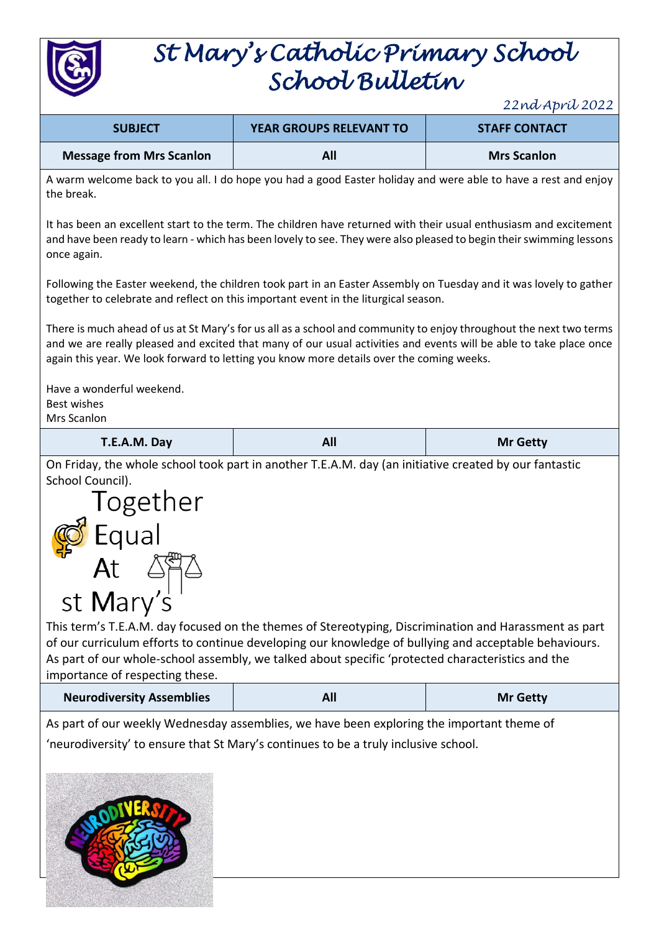

# *St Mary's Catholic Primary School School Bulletin*

*22nd April 2022*

| <b>SUBJECT</b>                  | <b>YEAR GROUPS RELEVANT TO</b> | <b>STAFF CONTACT</b> |
|---------------------------------|--------------------------------|----------------------|
| <b>Message from Mrs Scanlon</b> | All                            | <b>Mrs Scanlon</b>   |

A warm welcome back to you all. I do hope you had a good Easter holiday and were able to have a rest and enjoy the break.

It has been an excellent start to the term. The children have returned with their usual enthusiasm and excitement and have been ready to learn - which has been lovely to see. They were also pleased to begin their swimming lessons once again.

Following the Easter weekend, the children took part in an Easter Assembly on Tuesday and it was lovely to gather together to celebrate and reflect on this important event in the liturgical season.

There is much ahead of us at St Mary's for us all as a school and community to enjoy throughout the next two terms and we are really pleased and excited that many of our usual activities and events will be able to take place once again this year. We look forward to letting you know more details over the coming weeks.

Have a wonderful weekend. Best wishes Mrs Scanlon

| T.E.A.M. Day | <b>All</b> | <b>Mr Getty</b> |
|--------------|------------|-----------------|
|--------------|------------|-----------------|

On Friday, the whole school took part in another T.E.A.M. day (an initiative created by our fantastic School Council).



This term's T.E.A.M. day focused on the themes of Stereotyping, Discrimination and Harassment as part of our curriculum efforts to continue developing our knowledge of bullying and acceptable behaviours. As part of our whole-school assembly, we talked about specific 'protected characteristics and the importance of respecting these.

| <b>Neurodiversity Assemblies</b> | All | <b>Mr Getty</b> |
|----------------------------------|-----|-----------------|
|----------------------------------|-----|-----------------|

As part of our weekly Wednesday assemblies, we have been exploring the important theme of 'neurodiversity' to ensure that St Mary's continues to be a truly inclusive school.

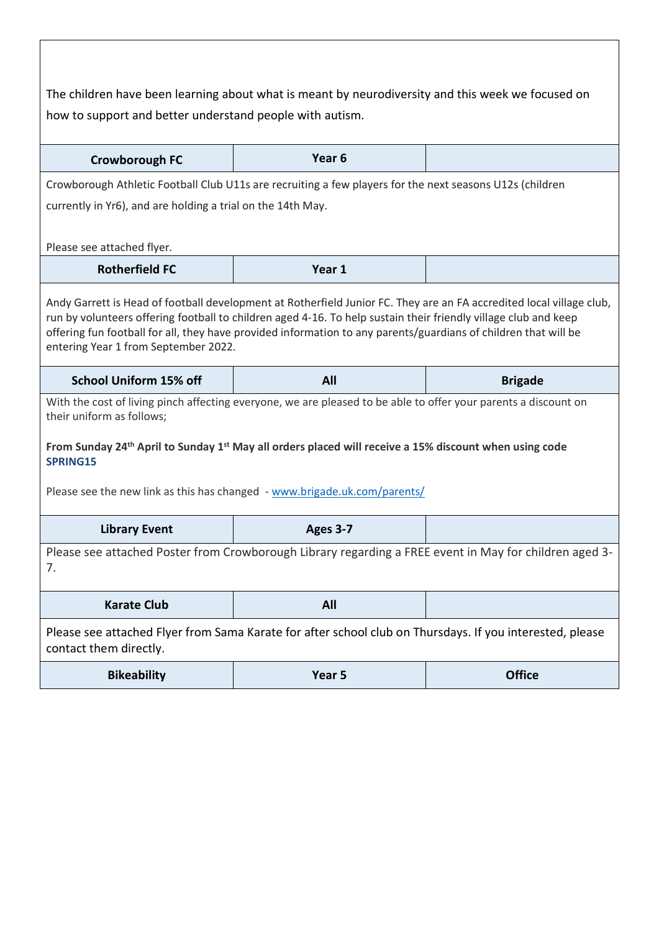| The children have been learning about what is meant by neurodiversity and this week we focused on<br>how to support and better understand people with autism.                                                                                                                                                                                                                                      |                                                                                                                                                                                                                                                   |                |  |
|----------------------------------------------------------------------------------------------------------------------------------------------------------------------------------------------------------------------------------------------------------------------------------------------------------------------------------------------------------------------------------------------------|---------------------------------------------------------------------------------------------------------------------------------------------------------------------------------------------------------------------------------------------------|----------------|--|
| Crowborough FC                                                                                                                                                                                                                                                                                                                                                                                     | Year <sub>6</sub>                                                                                                                                                                                                                                 |                |  |
|                                                                                                                                                                                                                                                                                                                                                                                                    | Crowborough Athletic Football Club U11s are recruiting a few players for the next seasons U12s (children                                                                                                                                          |                |  |
| currently in Yr6), and are holding a trial on the 14th May.<br>Please see attached flyer.                                                                                                                                                                                                                                                                                                          |                                                                                                                                                                                                                                                   |                |  |
| <b>Rotherfield FC</b>                                                                                                                                                                                                                                                                                                                                                                              | Year 1                                                                                                                                                                                                                                            |                |  |
| Andy Garrett is Head of football development at Rotherfield Junior FC. They are an FA accredited local village club,<br>run by volunteers offering football to children aged 4-16. To help sustain their friendly village club and keep<br>offering fun football for all, they have provided information to any parents/guardians of children that will be<br>entering Year 1 from September 2022. |                                                                                                                                                                                                                                                   |                |  |
|                                                                                                                                                                                                                                                                                                                                                                                                    |                                                                                                                                                                                                                                                   |                |  |
| <b>School Uniform 15% off</b>                                                                                                                                                                                                                                                                                                                                                                      | All                                                                                                                                                                                                                                               | <b>Brigade</b> |  |
| their uniform as follows;                                                                                                                                                                                                                                                                                                                                                                          | With the cost of living pinch affecting everyone, we are pleased to be able to offer your parents a discount on<br>From Sunday 24 <sup>th</sup> April to Sunday 1 <sup>st</sup> May all orders placed will receive a 15% discount when using code |                |  |
| SPRING15                                                                                                                                                                                                                                                                                                                                                                                           |                                                                                                                                                                                                                                                   |                |  |
|                                                                                                                                                                                                                                                                                                                                                                                                    | Please see the new link as this has changed - www.brigade.uk.com/parents/                                                                                                                                                                         |                |  |
| <b>Library Event</b>                                                                                                                                                                                                                                                                                                                                                                               | Ages 3-7                                                                                                                                                                                                                                          |                |  |
| 7.                                                                                                                                                                                                                                                                                                                                                                                                 | Please see attached Poster from Crowborough Library regarding a FREE event in May for children aged 3-                                                                                                                                            |                |  |
| <b>Karate Club</b>                                                                                                                                                                                                                                                                                                                                                                                 | <b>All</b>                                                                                                                                                                                                                                        |                |  |
| contact them directly.                                                                                                                                                                                                                                                                                                                                                                             | Please see attached Flyer from Sama Karate for after school club on Thursdays. If you interested, please                                                                                                                                          |                |  |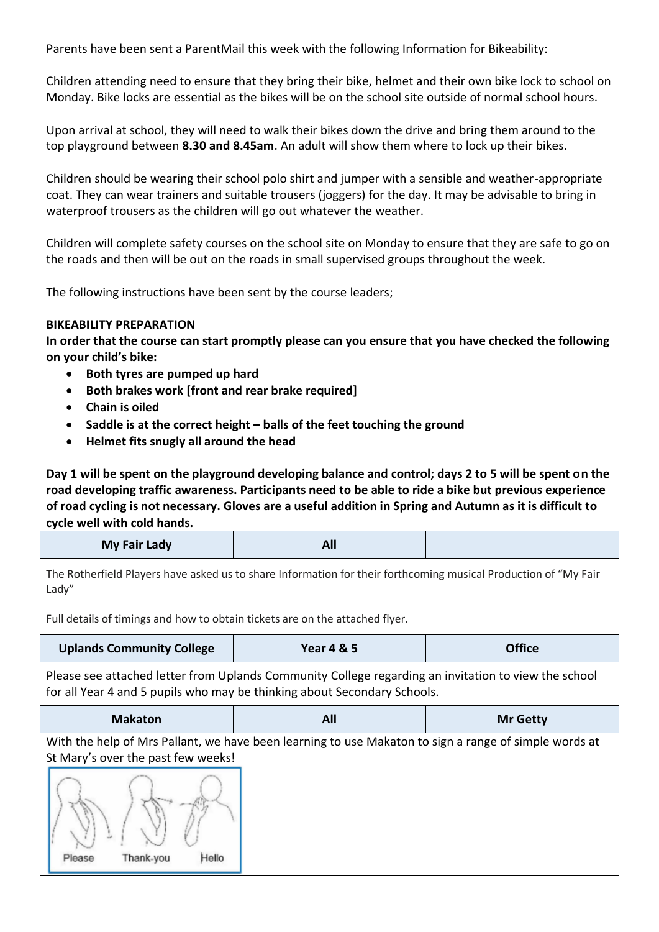Parents have been sent a ParentMail this week with the following Information for Bikeability:

Children attending need to ensure that they bring their bike, helmet and their own bike lock to school on Monday. Bike locks are essential as the bikes will be on the school site outside of normal school hours.

Upon arrival at school, they will need to walk their bikes down the drive and bring them around to the top playground between **8.30 and 8.45am**. An adult will show them where to lock up their bikes.

Children should be wearing their school polo shirt and jumper with a sensible and weather-appropriate coat. They can wear trainers and suitable trousers (joggers) for the day. It may be advisable to bring in waterproof trousers as the children will go out whatever the weather.

Children will complete safety courses on the school site on Monday to ensure that they are safe to go on the roads and then will be out on the roads in small supervised groups throughout the week.

The following instructions have been sent by the course leaders;

#### **BIKEABILITY PREPARATION**

**In order that the course can start promptly please can you ensure that you have checked the following on your child's bike:**

- **Both tyres are pumped up hard**
- **Both brakes work [front and rear brake required]**
- **Chain is oiled**
- **Saddle is at the correct height – balls of the feet touching the ground**
- **Helmet fits snugly all around the head**

**Day 1 will be spent on the playground developing balance and control; days 2 to 5 will be spent on the road developing traffic awareness. Participants need to be able to ride a bike but previous experience of road cycling is not necessary. Gloves are a useful addition in Spring and Autumn as it is difficult to cycle well with cold hands.**

| <b>My Fair Lady</b> | All |  |
|---------------------|-----|--|
|---------------------|-----|--|

The Rotherfield Players have asked us to share Information for their forthcoming musical Production of "My Fair Lady"

Full details of timings and how to obtain tickets are on the attached flyer.

| <b>Uplands Community College</b> | <b>Year 4 &amp; 5</b> | <b>Office</b> |
|----------------------------------|-----------------------|---------------|
|----------------------------------|-----------------------|---------------|

Please see attached letter from Uplands Community College regarding an invitation to view the school for all Year 4 and 5 pupils who may be thinking about Secondary Schools.

| <b>Makaton</b> | Λľ<br>AIL. | <b>Mr Getty</b> |
|----------------|------------|-----------------|
|----------------|------------|-----------------|

With the help of Mrs Pallant, we have been learning to use Makaton to sign a range of simple words at St Mary's over the past few weeks!

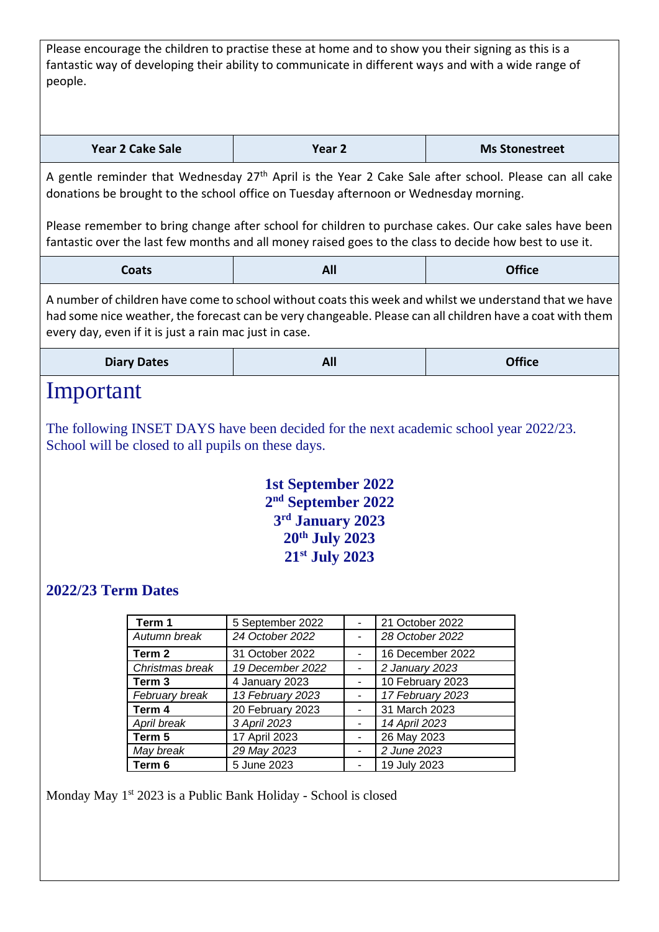Please encourage the children to practise these at home and to show you their signing as this is a fantastic way of developing their ability to communicate in different ways and with a wide range of people.

| Year 2 Cake Sale | Year 2 | <b>Ms Stonestreet</b> |
|------------------|--------|-----------------------|
|------------------|--------|-----------------------|

A gentle reminder that Wednesday 27<sup>th</sup> April is the Year 2 Cake Sale after school. Please can all cake donations be brought to the school office on Tuesday afternoon or Wednesday morning.

Please remember to bring change after school for children to purchase cakes. Our cake sales have been fantastic over the last few months and all money raised goes to the class to decide how best to use it.

| <b>Coats</b> | All | <b>Office</b> |
|--------------|-----|---------------|
|--------------|-----|---------------|

A number of children have come to school without coats this week and whilst we understand that we have had some nice weather, the forecast can be very changeable. Please can all children have a coat with them every day, even if it is just a rain mac just in case.

|  | <b>Diary Dates</b> | AU | <b>Office</b> |
|--|--------------------|----|---------------|
|--|--------------------|----|---------------|

### Important

The following INSET DAYS have been decided for the next academic school year 2022/23. School will be closed to all pupils on these days.

### **1st September 2022 2 nd September 2022 3 rd January 2023 20th July 2023 21st July 2023**

### **2022/23 Term Dates**

| Term 1            | 5 September 2022 | 21 October 2022  |
|-------------------|------------------|------------------|
| Autumn break      | 24 October 2022  | 28 October 2022  |
| Term 2            | 31 October 2022  | 16 December 2022 |
| Christmas break   | 19 December 2022 | 2 January 2023   |
| Term <sub>3</sub> | 4 January 2023   | 10 February 2023 |
| February break    | 13 February 2023 | 17 February 2023 |
| Term 4            | 20 February 2023 | 31 March 2023    |
| April break       | 3 April 2023     | 14 April 2023    |
| Term 5            | 17 April 2023    | 26 May 2023      |
| May break         | 29 May 2023      | 2 June 2023      |
| Term 6            | 5 June 2023      | 19 July 2023     |

Monday May  $1<sup>st</sup> 2023$  is a Public Bank Holiday - School is closed